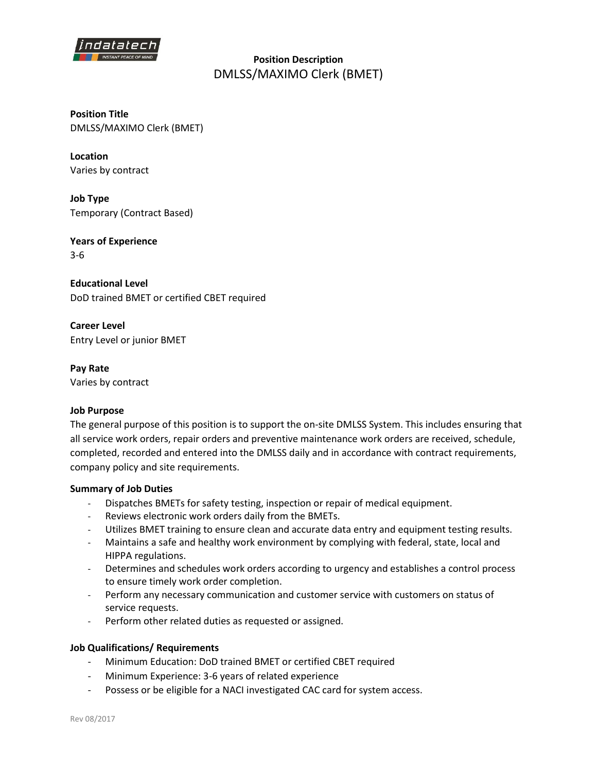

**Position Description**  DMLSS/MAXIMO Clerk (BMET)

**Position Title** DMLSS/MAXIMO Clerk (BMET)

**Location** Varies by contract

**Job Type** Temporary (Contract Based)

**Years of Experience** 3-6

**Educational Level** DoD trained BMET or certified CBET required

**Career Level** Entry Level or junior BMET

**Pay Rate** Varies by contract

## **Job Purpose**

The general purpose of this position is to support the on-site DMLSS System. This includes ensuring that all service work orders, repair orders and preventive maintenance work orders are received, schedule, completed, recorded and entered into the DMLSS daily and in accordance with contract requirements, company policy and site requirements.

## **Summary of Job Duties**

- Dispatches BMETs for safety testing, inspection or repair of medical equipment.
- Reviews electronic work orders daily from the BMETs.
- Utilizes BMET training to ensure clean and accurate data entry and equipment testing results.
- Maintains a safe and healthy work environment by complying with federal, state, local and HIPPA regulations.
- Determines and schedules work orders according to urgency and establishes a control process to ensure timely work order completion.
- Perform any necessary communication and customer service with customers on status of service requests.
- Perform other related duties as requested or assigned.

## **Job Qualifications/ Requirements**

- Minimum Education: DoD trained BMET or certified CBET required
- Minimum Experience: 3-6 years of related experience
- Possess or be eligible for a NACI investigated CAC card for system access.